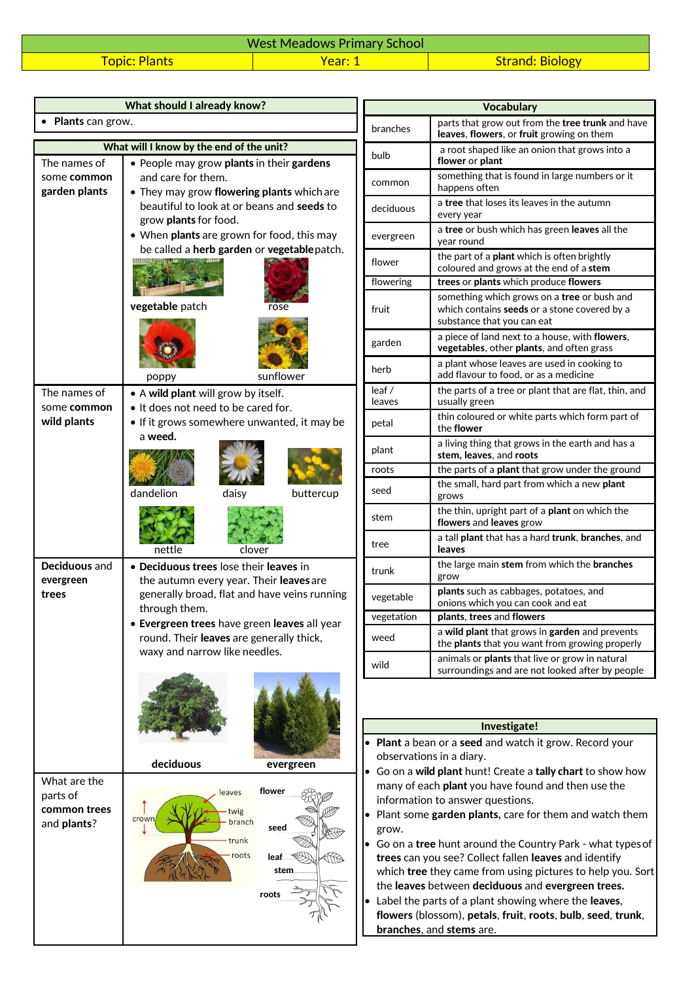| <b>West Meadows Primary School</b> |              |                        |
|------------------------------------|--------------|------------------------|
| <b>Topic: Plants</b>               | <b>Year:</b> | <b>Strand: Biology</b> |

|                             | What should I already know?                                                               |             |            | <b>Vocabulary</b>                                                          |
|-----------------------------|-------------------------------------------------------------------------------------------|-------------|------------|----------------------------------------------------------------------------|
| • Plants can grow.          |                                                                                           |             |            | parts that grow out fron                                                   |
|                             |                                                                                           |             | branches   | leaves, flowers, or fruit                                                  |
|                             | What will I know by the end of the unit?                                                  |             | bulb       | a root shaped like an or<br>flower or plant                                |
| The names of<br>some common | • People may grow plants in their gardens<br>and care for them.                           |             |            | something that is found                                                    |
| garden plants               | • They may grow flowering plants which are                                                |             | common     | happens often                                                              |
|                             | beautiful to look at or beans and seeds to<br>grow plants for food.                       |             | deciduous  | a <b>tree</b> that loses its leav<br>every year                            |
|                             | • When plants are grown for food, this may<br>be called a herb garden or vegetable patch. |             | evergreen  | a tree or bush which has<br>year round                                     |
|                             |                                                                                           |             | flower     | the part of a plant which<br>coloured and grows at t                       |
|                             |                                                                                           |             | flowering  | trees or plants which pr                                                   |
|                             | vegetable patch                                                                           | rose        | fruit      | something which grows<br>which contains seeds or<br>substance that you can |
|                             |                                                                                           |             | garden     | a piece of land next to a<br>vegetables, other plants                      |
|                             | poppy                                                                                     | sunflower   | herb       | a plant whose leaves are<br>add flavour to food, or a                      |
| The names of                | • A wild plant will grow by itself.                                                       |             | leaf/      | the parts of a tree or pla                                                 |
| some common                 | • It does not need to be cared for.                                                       |             | leaves     | usually green<br>thin coloured or white p                                  |
| wild plants                 | • If it grows somewhere unwanted, it may be<br>a weed.                                    |             | petal      | the flower                                                                 |
|                             |                                                                                           |             | plant      | a living thing that grows<br>stem, leaves, and roots                       |
|                             |                                                                                           |             | roots      | the parts of a plant that                                                  |
|                             | dandelion<br>daisy                                                                        | buttercup   | seed       | the small, hard part fror<br>grows                                         |
|                             |                                                                                           |             | stem       | the thin, upright part of<br>flowers and leaves grov                       |
|                             | nettle<br>clover                                                                          |             | tree       | a tall plant that has a ha<br>leaves                                       |
| Deciduous and<br>evergreen  | • Deciduous trees lose their leaves in<br>the autumn every year. Their leaves are         |             | trunk      | the large main stem from<br>grow                                           |
| trees                       | generally broad, flat and have veins running<br>through them.                             |             | vegetable  | plants such as cabbages<br>onions which you can co                         |
|                             | • Evergreen trees have green leaves all year                                              |             | vegetation | plants, trees and flower                                                   |
|                             | round. Their leaves are generally thick,<br>waxy and narrow like needles.                 |             | weed       | a wild plant that grows<br>the plants that you wan                         |
|                             |                                                                                           |             | wild       | animals or plants that liv<br>surroundings and are no                      |
|                             |                                                                                           |             |            |                                                                            |
|                             |                                                                                           |             |            | Investigate!                                                               |
|                             |                                                                                           |             |            | • Plant a bean or a seed and watch i                                       |
|                             | deciduous                                                                                 | evergreen   |            | observations in a diary.                                                   |
| What are the                |                                                                                           |             |            | Go on a wild plant hunt! Create a t                                        |
| parts of                    | leaves                                                                                    | flower      |            | many of each plant you have found<br>information to answer questions.      |
| common trees                | twig                                                                                      |             |            | • Plant some garden plants, care for                                       |
| and plants?                 | crown<br>branch                                                                           | seed        | grow.      |                                                                            |
|                             | trunk                                                                                     |             |            | • Go on a tree hunt around the Cour                                        |
|                             | roots                                                                                     | leaf_<br>ЩB |            | trees can you see? Collect fallen le                                       |
|                             |                                                                                           | stem        |            | which tree they came from using r                                          |

**roots** 

MAKS

| <b>Vocabulary</b> |                                                                                                                                         |  |  |
|-------------------|-----------------------------------------------------------------------------------------------------------------------------------------|--|--|
| branches          | parts that grow out from the tree trunk and have<br>leaves, flowers, or fruit growing on them                                           |  |  |
| bulb              | a root shaped like an onion that grows into a<br>flower or plant                                                                        |  |  |
| common            | something that is found in large numbers or it<br>happens often                                                                         |  |  |
| deciduous         | a <b>tree</b> that loses its leaves in the autumn<br>every year                                                                         |  |  |
| evergreen         | a <b>tree</b> or bush which has green <b>leaves</b> all the<br>year round                                                               |  |  |
| flower            | the part of a <b>plant</b> which is often brightly<br>coloured and grows at the end of a stem                                           |  |  |
| flowering         | trees or plants which produce flowers                                                                                                   |  |  |
| fruit             | something which grows on a <b>tree</b> or bush and<br>which contains <b>seeds</b> or a stone covered by a<br>substance that you can eat |  |  |
| garden            | a piece of land next to a house, with flowers,<br><b>vegetables</b> , other <b>plants</b> , and often grass                             |  |  |
| herb              | a plant whose leaves are used in cooking to<br>add flavour to food, or as a medicine                                                    |  |  |
| leaf/<br>leaves   | the parts of a tree or plant that are flat, thin, and<br>usually green                                                                  |  |  |
| petal             | thin coloured or white parts which form part of<br>the flower                                                                           |  |  |
| plant             | a living thing that grows in the earth and has a<br>stem, leaves, and roots                                                             |  |  |
| roots             | the parts of a plant that grow under the ground                                                                                         |  |  |
| seed              | the small, hard part from which a new plant<br>grows                                                                                    |  |  |
| stem              | the thin, upright part of a <b>plant</b> on which the<br>flowers and leaves grow                                                        |  |  |
| tree              | a tall plant that has a hard trunk, branches, and<br>leaves                                                                             |  |  |
| trunk             | the large main stem from which the branches<br>grow                                                                                     |  |  |
| vegetable         | plants such as cabbages, potatoes, and<br>onions which you can cook and eat                                                             |  |  |
| vegetation        | plants, trees and flowers                                                                                                               |  |  |
| weed              | a wild plant that grows in garden and prevents<br>the plants that you want from growing properly                                        |  |  |
| wild              | animals or plants that live or grow in natural<br>surroundings and are not looked after by people                                       |  |  |

## **Investigate!**

- **Plant** a bean or a **seed** and watch it grow. Record your observations in a diary.
- Go on a **wild plant** hunt! Create a **tally chart** to show how many of each **plant** you have found and then use the information to answer questions.
- Plant some **garden plants,** care for them and watch them grow.
- Go on a **tree** hunt around the Country Park what types of **trees** can you see? Collect fallen **leaves** and identify which **tree** they came from using pictures to help you. Sort the **leaves** between **deciduous** and **evergreen trees.**
- Label the parts of a plant showing where the **leaves**, **flowers** (blossom), **petals**, **fruit**, **roots**, **bulb**, **seed**, **trunk**, **branches**, and **stems** are.